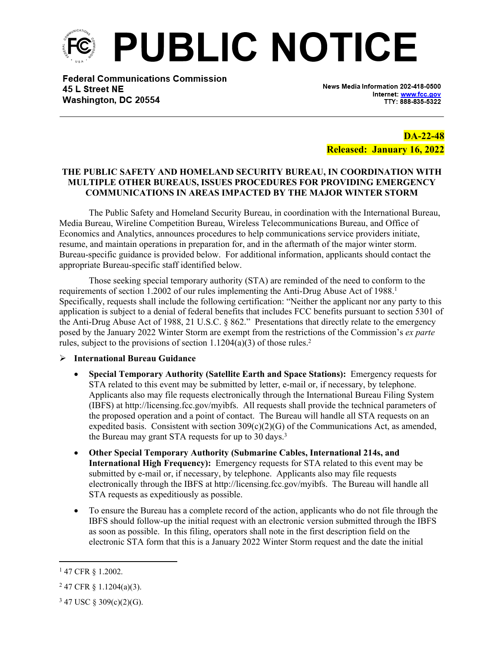

**Federal Communications Commission** 45 L Street NE Washington, DC 20554

News Media Information 202-418-0500 Internet: www.fcc.gov TTY: 888-835-5322

**DA-22-48 Released: January 16, 2022**

#### **THE PUBLIC SAFETY AND HOMELAND SECURITY BUREAU, IN COORDINATION WITH MULTIPLE OTHER BUREAUS, ISSUES PROCEDURES FOR PROVIDING EMERGENCY COMMUNICATIONS IN AREAS IMPACTED BY THE MAJOR WINTER STORM**

The Public Safety and Homeland Security Bureau, in coordination with the International Bureau, Media Bureau, Wireline Competition Bureau, Wireless Telecommunications Bureau, and Office of Economics and Analytics, announces procedures to help communications service providers initiate, resume, and maintain operations in preparation for, and in the aftermath of the major winter storm. Bureau-specific guidance is provided below. For additional information, applicants should contact the appropriate Bureau-specific staff identified below.

Those seeking special temporary authority (STA) are reminded of the need to conform to the requirements of section 1.2002 of our rules implementing the Anti-Drug Abuse Act of 1988.<sup>1</sup> Specifically, requests shall include the following certification: "Neither the applicant nor any party to this application is subject to a denial of federal benefits that includes FCC benefits pursuant to section 5301 of the Anti-Drug Abuse Act of 1988, 21 U.S.C. § 862." Presentations that directly relate to the emergency posed by the January 2022 Winter Storm are exempt from the restrictions of the Commission's *ex parte* rules, subject to the provisions of section  $1.1204(a)(3)$  of those rules.<sup>2</sup>

#### **International Bureau Guidance**

- **Special Temporary Authority (Satellite Earth and Space Stations):** Emergency requests for STA related to this event may be submitted by letter, e-mail or, if necessary, by telephone. Applicants also may file requests electronically through the International Bureau Filing System (IBFS) at http://licensing.fcc.gov/myibfs. All requests shall provide the technical parameters of the proposed operation and a point of contact. The Bureau will handle all STA requests on an expedited basis. Consistent with section  $309(c)(2)(G)$  of the Communications Act, as amended, the Bureau may grant STA requests for up to 30 days.<sup>3</sup>
- **Other Special Temporary Authority (Submarine Cables, International 214s, and International High Frequency):** Emergency requests for STA related to this event may be submitted by e-mail or, if necessary, by telephone. Applicants also may file requests electronically through the IBFS at http://licensing.fcc.gov/myibfs. The Bureau will handle all STA requests as expeditiously as possible.
- To ensure the Bureau has a complete record of the action, applicants who do not file through the IBFS should follow-up the initial request with an electronic version submitted through the IBFS as soon as possible. In this filing, operators shall note in the first description field on the electronic STA form that this is a January 2022 Winter Storm request and the date the initial

<sup>1</sup> 47 CFR § 1.2002.

 $2$  47 CFR § 1.1204(a)(3).

 $3$  47 USC § 309(c)(2)(G).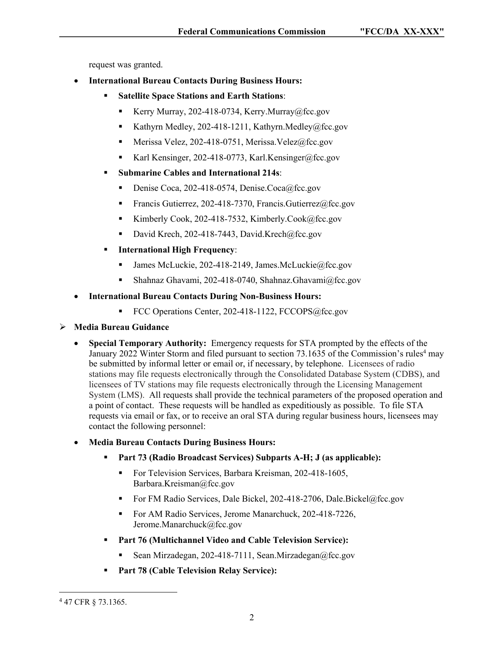request was granted.

- **International Bureau Contacts During Business Hours:** 
	- **Satellite Space Stations and Earth Stations**:
		- Kerry Murray, 202-418-0734, Kerry.Murray@fcc.gov
		- Kathyrn Medley, 202-418-1211, Kathyrn.Medley@fcc.gov
		- Merissa Velez, 202-418-0751, Merissa.Velez@fcc.gov
		- Karl Kensinger, 202-418-0773, Karl Kensinger@fcc.gov
	- **Submarine Cables and International 214s**:
		- Denise Coca, 202-418-0574, Denise.Coca@fcc.gov
		- Francis Gutierrez, 202-418-7370, Francis.Gutierrez@fcc.gov
		- Kimberly Cook, 202-418-7532, Kimberly.Cook@fcc.gov
		- David Krech, 202-418-7443, David.Krech@fcc.gov
	- **International High Frequency**:
		- James McLuckie, 202-418-2149, James.McLuckie@fcc.gov
		- Shahnaz Ghavami, 202-418-0740, Shahnaz.Ghavami@fcc.gov
- **International Bureau Contacts During Non-Business Hours:**
	- FCC Operations Center, 202-418-1122, FCCOPS@fcc.gov

## **Media Bureau Guidance**

- **Special Temporary Authority:** Emergency requests for STA prompted by the effects of the January 2022 Winter Storm and filed pursuant to section 73.1635 of the Commission's rules<sup>4</sup> may be submitted by informal letter or email or, if necessary, by telephone. Licensees of radio stations may file requests electronically through the Consolidated Database System (CDBS), and licensees of TV stations may file requests electronically through the Licensing Management System (LMS). All requests shall provide the technical parameters of the proposed operation and a point of contact. These requests will be handled as expeditiously as possible. To file STA requests via email or fax, or to receive an oral STA during regular business hours, licensees may contact the following personnel:
- **Media Bureau Contacts During Business Hours:**
	- **Part 73 (Radio Broadcast Services) Subparts A-H; J (as applicable):**
		- For Television Services, Barbara Kreisman, 202-418-1605, Barbara.Kreisman@fcc.gov
		- For FM Radio Services, Dale Bickel, 202-418-2706, Dale.Bickel@fcc.gov
		- For AM Radio Services, Jerome Manarchuck, 202-418-7226, Jerome.Manarchuck@fcc.gov
	- **Part 76 (Multichannel Video and Cable Television Service):** 
		- Sean Mirzadegan, 202-418-7111, Sean.Mirzadegan@fcc.gov
	- **Part 78 (Cable Television Relay Service):**

<sup>4</sup> 47 CFR § 73.1365.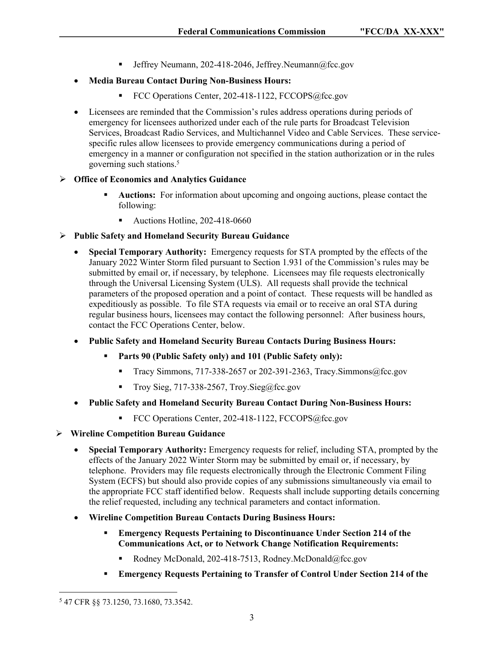**Jeffrey Neumann, 202-418-2046, Jeffrey.Neumann** $@$ fcc.gov

# **Media Bureau Contact During Non-Business Hours:**

- FCC Operations Center, 202-418-1122, FCCOPS@fcc.gov
- Licensees are reminded that the Commission's rules address operations during periods of emergency for licensees authorized under each of the rule parts for Broadcast Television Services, Broadcast Radio Services, and Multichannel Video and Cable Services. These servicespecific rules allow licensees to provide emergency communications during a period of emergency in a manner or configuration not specified in the station authorization or in the rules governing such stations.<sup>5</sup>

## **Office of Economics and Analytics Guidance**

- **Auctions:** For information about upcoming and ongoing auctions, please contact the following:
	- Auctions Hotline, 202-418-0660

# **Public Safety and Homeland Security Bureau Guidance**

- **Special Temporary Authority:** Emergency requests for STA prompted by the effects of the January 2022 Winter Storm filed pursuant to Section 1.931 of the Commission's rules may be submitted by email or, if necessary, by telephone. Licensees may file requests electronically through the Universal Licensing System (ULS). All requests shall provide the technical parameters of the proposed operation and a point of contact. These requests will be handled as expeditiously as possible. To file STA requests via email or to receive an oral STA during regular business hours, licensees may contact the following personnel: After business hours, contact the FCC Operations Center, below.
- **Public Safety and Homeland Security Bureau Contacts During Business Hours:**
	- **Parts 90 (Public Safety only) and 101 (Public Safety only):** 
		- Tracy Simmons, 717-338-2657 or 202-391-2363, Tracy. Simmons  $@$  fcc.gov
		- Troy Sieg,  $717-338-2567$ , Troy.Sieg@fcc.gov
- **Public Safety and Homeland Security Bureau Contact During Non-Business Hours:**
	- FCC Operations Center, 202-418-1122, FCCOPS@fcc.gov
- **Wireline Competition Bureau Guidance**
	- **Special Temporary Authority:** Emergency requests for relief, including STA, prompted by the effects of the January 2022 Winter Storm may be submitted by email or, if necessary, by telephone. Providers may file requests electronically through the Electronic Comment Filing System (ECFS) but should also provide copies of any submissions simultaneously via email to the appropriate FCC staff identified below. Requests shall include supporting details concerning the relief requested, including any technical parameters and contact information.
	- **Wireline Competition Bureau Contacts During Business Hours:**
		- **Emergency Requests Pertaining to Discontinuance Under Section 214 of the Communications Act, or to Network Change Notification Requirements:**
			- Rodney McDonald, 202-418-7513, Rodney.McDonald@fcc.gov
		- **Emergency Requests Pertaining to Transfer of Control Under Section 214 of the**

<sup>5</sup> 47 CFR §§ 73.1250, 73.1680, 73.3542.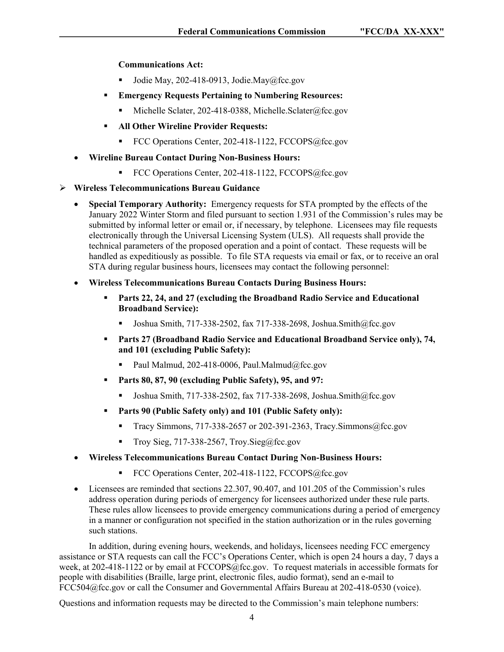**Communications Act:**

- Jodie May, 202-418-0913, Jodie.May@fcc.gov
- **Emergency Requests Pertaining to Numbering Resources:** 
	- Michelle Sclater, 202-418-0388, Michelle.Sclater@fcc.gov
- **All Other Wireline Provider Requests:** 
	- FCC Operations Center, 202-418-1122, FCCOPS@fcc.gov
- **Wireline Bureau Contact During Non-Business Hours:**
	- FCC Operations Center, 202-418-1122, FCCOPS@fcc.gov

### **Wireless Telecommunications Bureau Guidance**

- **Special Temporary Authority:** Emergency requests for STA prompted by the effects of the January 2022 Winter Storm and filed pursuant to section 1.931 of the Commission's rules may be submitted by informal letter or email or, if necessary, by telephone. Licensees may file requests electronically through the Universal Licensing System (ULS). All requests shall provide the technical parameters of the proposed operation and a point of contact. These requests will be handled as expeditiously as possible. To file STA requests via email or fax, or to receive an oral STA during regular business hours, licensees may contact the following personnel:
- **Wireless Telecommunications Bureau Contacts During Business Hours:**
	- **Parts 22, 24, and 27 (excluding the Broadband Radio Service and Educational Broadband Service):** 
		- Joshua Smith,  $717-338-2502$ , fax  $717-338-2698$ , Joshua.Smith@fcc.gov
	- **Parts 27 (Broadband Radio Service and Educational Broadband Service only), 74, and 101 (excluding Public Safety):** 
		- Paul Malmud, 202-418-0006, Paul.Malmud@fcc.gov
	- **Parts 80, 87, 90 (excluding Public Safety), 95, and 97:** 
		- Joshua Smith, 717-338-2502, fax 717-338-2698, Joshua.Smith@fcc.gov
	- **Parts 90 (Public Safety only) and 101 (Public Safety only):** 
		- Tracy Simmons,  $717-338-2657$  or 202-391-2363, Tracy. Simmons  $@$  fcc.gov
		- Troy Sieg,  $717-338-2567$ , Troy.Sieg@fcc.gov
- **Wireless Telecommunications Bureau Contact During Non-Business Hours:**
	- FCC Operations Center, 202-418-1122, FCCOPS@fcc.gov
- Licensees are reminded that sections 22.307, 90.407, and 101.205 of the Commission's rules address operation during periods of emergency for licensees authorized under these rule parts. These rules allow licensees to provide emergency communications during a period of emergency in a manner or configuration not specified in the station authorization or in the rules governing such stations.

In addition, during evening hours, weekends, and holidays, licensees needing FCC emergency assistance or STA requests can call the FCC's Operations Center, which is open 24 hours a day, 7 days a week, at 202-418-1122 or by email at FCCOPS@fcc.gov. To request materials in accessible formats for people with disabilities (Braille, large print, electronic files, audio format), send an e-mail to FCC504@fcc.gov or call the Consumer and Governmental Affairs Bureau at 202-418-0530 (voice).

Questions and information requests may be directed to the Commission's main telephone numbers: